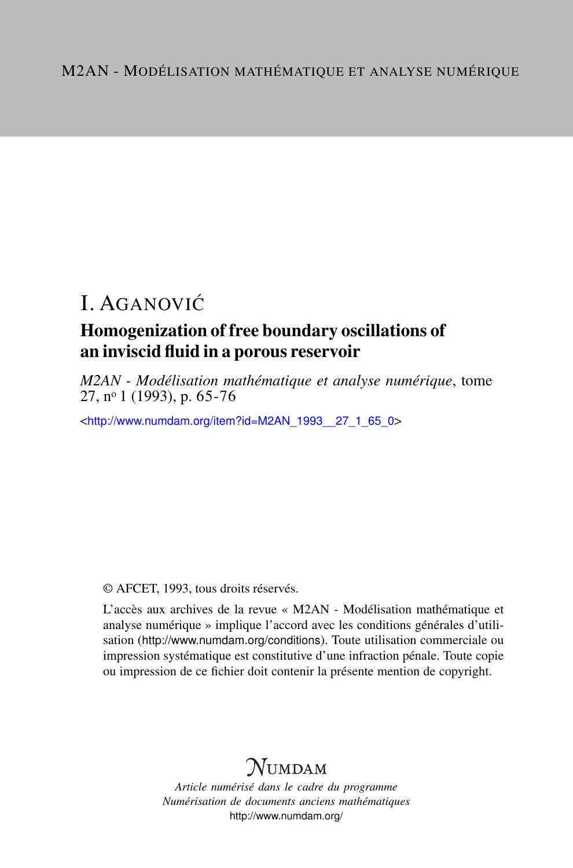# I. AGANOVIĆ

### Homogenization of free boundary oscillations of an inviscid fluid in a porous reservoir

*M2AN - Modélisation mathématique et analyse numérique*, tome 27, n<sup>o</sup> 1 (1993), p. 65-76

<[http://www.numdam.org/item?id=M2AN\\_1993\\_\\_27\\_1\\_65\\_0](http://www.numdam.org/item?id=M2AN_1993__27_1_65_0)>

© AFCET, 1993, tous droits réservés.

L'accès aux archives de la revue « M2AN - Modélisation mathématique et analyse numérique » implique l'accord avec les conditions générales d'utilisation (<http://www.numdam.org/conditions>). Toute utilisation commerciale ou impression systématique est constitutive d'une infraction pénale. Toute copie ou impression de ce fichier doit contenir la présente mention de copyright.

## **NUMDAM**

*Article numérisé dans le cadre du programme Numérisation de documents anciens mathématiques* <http://www.numdam.org/>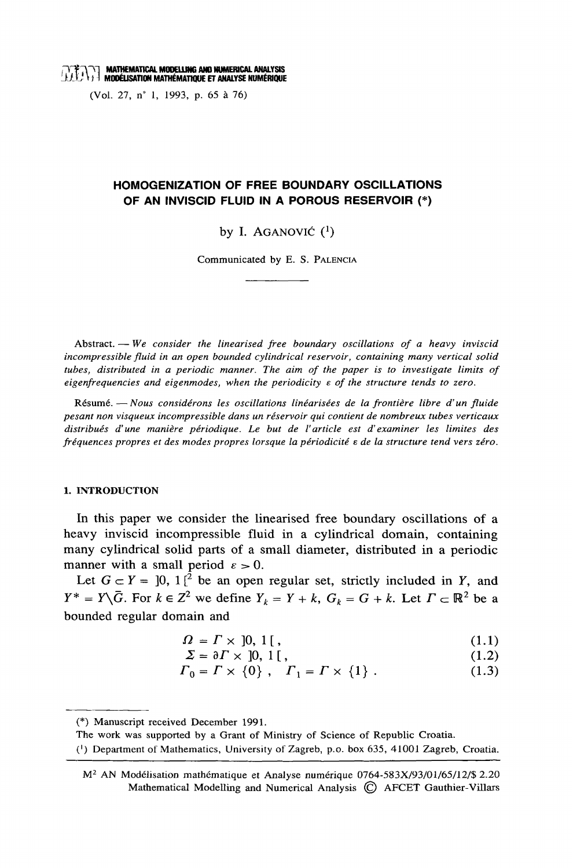## **EXAMPLE MATHEMATICAL MODELLING AND NUMERICAL ANALYSIS**<br> **EXAMPLE TO THE MODELISATION MATHÉMATIQUE ET ANALYSE NUMERIQUE**

(Vol. 27, n° 1, 1993, p. 65 à 76)

### HOMOGENIZATION OF FREE BOUNDARY OSCILLATIONS OF AN INVISCID FLUID IN A POROUS RESERVOIR (\*)

by I. AGANOVIĆ  $(1)$ 

Communicated by E. S. PALENCIA

Abstract. - We consider the linearised free boundary oscillations of a heavy inviscid incompressible fluid in an open bounded cylindrical reservoir, containing many vertical solid tubes, distributed in a periodic manner. The aim of the paper is to investigate limits of eigenfrequencies and eigenmodes, when the periodicity  $\varepsilon$  of the structure tends to zero.

Résumé. — Nous considérons les oscillations linéarisées de la frontière libre d'un fluide pesant non visqueux incompressible dans un réservoir qui contient de nombreux tubes verticaux distribués d'une manière périodique. Le but de l'article est d'examiner les limites des fréquences propres et des modes propres lorsque la périodicité e de la structure tend vers zéro.

#### 1. INTRODUCTION

In this paper we consider the linearised free boundary oscillations of a heavy inviscid incompressible fluid in a cylindrical domain, containing many cylindrical solid parts of a small diameter, distributed in a periodic manner with a small period  $\varepsilon > 0$ .

Let  $G \subset Y = [0, 1]^2$  be an open regular set, strictly included in Y, and  $Y^* = Y \setminus \overline{G}$ . For  $k \in \mathbb{Z}^2$  we define  $Y_k = Y + k$ ,  $G_k = G + k$ . Let  $\Gamma \subset \mathbb{R}^2$  be a bounded regular domain and

$$
\Omega = \Gamma \times [0, 1[, \tag{1.1}
$$

$$
\Sigma = \partial \Gamma \times [0, 1[, \tag{1.2}
$$

$$
\Gamma_0 = \Gamma \times \{0\} \; , \quad \Gamma_1 = \Gamma \times \{1\} \; . \tag{1.3}
$$

<sup>(\*)</sup> Manuscript received December 1991.

The work was supported by a Grant of Ministry of Science of Republic Croatia.

<sup>(1)</sup> Department of Mathematics, University of Zagreb, p.o. box 635, 41001 Zagreb, Croatia.

M<sup>2</sup> AN Modélisation mathématique et Analyse numérique 0764-583X/93/01/65/12/\$ 2.20 Mathematical Modelling and Numerical Analysis (C) AFCET Gauthier-Villars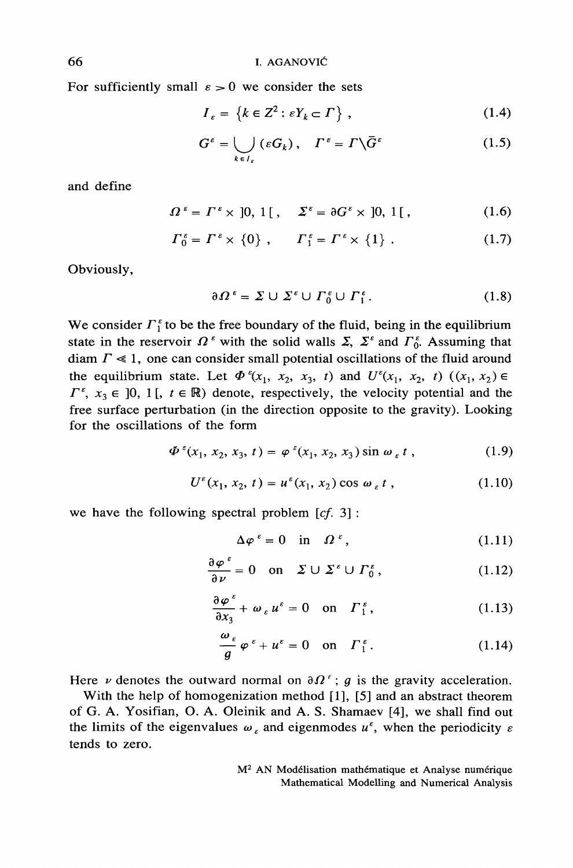For sufficiently small  $\varepsilon > 0$  we consider the sets

$$
I_{\varepsilon} = \left\{ k \in \mathbb{Z}^2 : \varepsilon Y_k \subset \Gamma \right\},\tag{1.4}
$$

$$
G^{\varepsilon} = \bigcup_{k \in I_{\varepsilon}} (\varepsilon G_k), \quad \Gamma^{\varepsilon} = \Gamma \backslash \bar{G}^{\varepsilon} \tag{1.5}
$$

and define

$$
\Omega^{\varepsilon} = \Gamma^{\varepsilon} \times [0, 1[, \quad \Sigma^{\varepsilon} = \partial G^{\varepsilon} \times [0, 1[, \quad (1.6)
$$

$$
\Gamma_0^{\varepsilon} = \Gamma^{\varepsilon} \times \{0\} , \qquad \Gamma_1^{\varepsilon} = \Gamma^{\varepsilon} \times \{1\} . \tag{1.7}
$$

Obviously,

$$
\partial \Omega^{\epsilon} = \Sigma \cup \Sigma^{\epsilon} \cup \Gamma_0^{\epsilon} \cup \Gamma_1^{\epsilon}.
$$
 (1.8)

We consider  $\Gamma_1^{\epsilon}$  to be the free boundary of the fluid, being in the equilibrium state in the reservoir  $\Omega^{\epsilon}$  with the solid walls  $\Sigma$ ,  $\Sigma^{\epsilon}$  and  $\Gamma_0^{\epsilon}$ . Assuming that diam  $\Gamma \ll 1$ , one can consider small potential oscillations of the fluid around the equilibrium state. Let  $\Phi^{\epsilon}(x_1, x_2, x_3, t)$  and  $U^{\epsilon}(x_1, x_2, t)$   $((x_1, x_2) \in$  $\Gamma^{\varepsilon}$ ,  $x_3 \in [0, 1]$ ,  $t \in \mathbb{R}$ ) denote, respectively, the velocity potential and the free surface perturbation (in the direction opposite to the gravity). Looking for the oscillations of the form

$$
\Phi^{\varepsilon}(x_1, x_2, x_3, t) = \varphi^{\varepsilon}(x_1, x_2, x_3) \sin \omega_{\varepsilon} t , \qquad (1.9)
$$

$$
U^{\varepsilon}(x_1, x_2, t) = u^{\varepsilon}(x_1, x_2) \cos \omega_{\varepsilon} t, \qquad (1.10)
$$

we have the following spectral problem  $[cf. 3]$ :

$$
\Delta \varphi^{\varepsilon} = 0 \quad \text{in} \quad \Omega^{\varepsilon}, \tag{1.11}
$$

$$
\frac{\partial \varphi^{\varepsilon}}{\partial \nu} = 0 \quad \text{on} \quad \Sigma \cup \Sigma^{\varepsilon} \cup \Gamma_0^{\varepsilon}, \tag{1.12}
$$

$$
\frac{\partial \varphi^{\varepsilon}}{\partial x_3} + \omega_{\varepsilon} u^{\varepsilon} = 0 \quad \text{on} \quad \Gamma_1^{\varepsilon}, \tag{1.13}
$$

$$
\frac{\omega_{\varepsilon}}{g} \varphi^{\varepsilon} + u^{\varepsilon} = 0 \quad \text{on} \quad \Gamma_1^{\varepsilon}.
$$
 (1.14)

Here  $\nu$  denotes the outward normal on  $\partial \Omega^{\varepsilon}$ ; g is the gravity acceleration.

With the help of homogenization method [1], [5] and an abstract theorem of G. A. Yosifian, O. A. Oleinik and A. S. Shamaev [4], we shall find out the limits of the eigenvalues  $\omega_{\varepsilon}$  and eigenmodes  $u^{\varepsilon}$ , when the periodicity  $\varepsilon$ tends to zero.

> M<sup>2</sup> AN Modélisation mathématique et Analyse numérique Mathematical Modelling and Numerical Analysis

66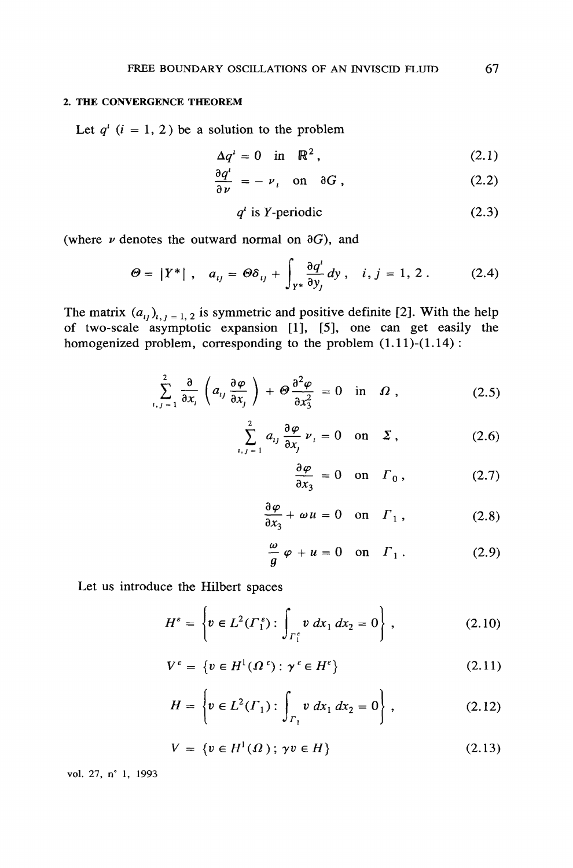#### 2. THE CONVERGENCE THEOREM

Let  $q^{i}$   $(i = 1, 2)$  be a solution to the problem

$$
\Delta q^i = 0 \quad \text{in} \quad \mathbb{R}^2 \,, \tag{2.1}
$$

$$
\frac{\partial q^i}{\partial \nu} = - \nu_i \quad \text{on} \quad \partial G \;, \tag{2.2}
$$

$$
q^i \t{is } Y \t{-periodic} \t(2.3)
$$

(where  $\nu$  denotes the outward normal on  $\partial G$ ), and

$$
\Theta = |Y^*|, \quad a_{ij} = \Theta \delta_{ij} + \int_{Y^*} \frac{\partial q^i}{\partial y_j} dy, \quad i, j = 1, 2. \tag{2.4}
$$

The matrix  $(a_{ij})_{i,j=1,2}$  is symmetric and positive definite [2]. With the help of two-scale asymptotic expansion [1], [5], one can get easily the homogenized problem, corresponding to the problem  $(1.11)$ - $(1.14)$ :

$$
\sum_{i,j=1}^{2} \frac{\partial}{\partial x_i} \left( a_{ij} \frac{\partial \varphi}{\partial x_j} \right) + \Theta \frac{\partial^2 \varphi}{\partial x_3^2} = 0 \quad \text{in} \quad \Omega ,
$$
 (2.5)

$$
\sum_{i,j=1}^{2} a_{ij} \frac{\partial \varphi}{\partial x_j} \nu_i = 0 \quad \text{on} \quad \Sigma , \qquad (2.6)
$$

$$
\frac{\partial \varphi}{\partial x_3} = 0 \quad \text{on} \quad \Gamma_0 \,, \tag{2.7}
$$

$$
\frac{\partial \varphi}{\partial x_3} + \omega u = 0 \quad \text{on} \quad \Gamma_1 \,, \tag{2.8}
$$

$$
\frac{\omega}{g} \varphi + u = 0 \quad \text{on} \quad \Gamma_1 \,. \tag{2.9}
$$

Let us introduce the Hilbert spaces

$$
H^{\varepsilon} = \left\{ v \in L^{2}(\Gamma_{1}^{\varepsilon}) : \int_{\Gamma_{1}^{\varepsilon}} v \, dx_{1} \, dx_{2} = 0 \right\},
$$
 (2.10)

$$
V^{\varepsilon} = \{ v \in H^{1}(\Omega^{\varepsilon}) : \gamma^{\varepsilon} \in H^{\varepsilon} \}
$$
 (2.11)

$$
H = \left\{ v \in L^2(\Gamma_1) : \int_{\Gamma_1} v \, dx_1 \, dx_2 = 0 \right\},\tag{2.12}
$$

$$
V = \{ v \in H^1(\Omega) \, ; \, \gamma v \in H \} \tag{2.13}
$$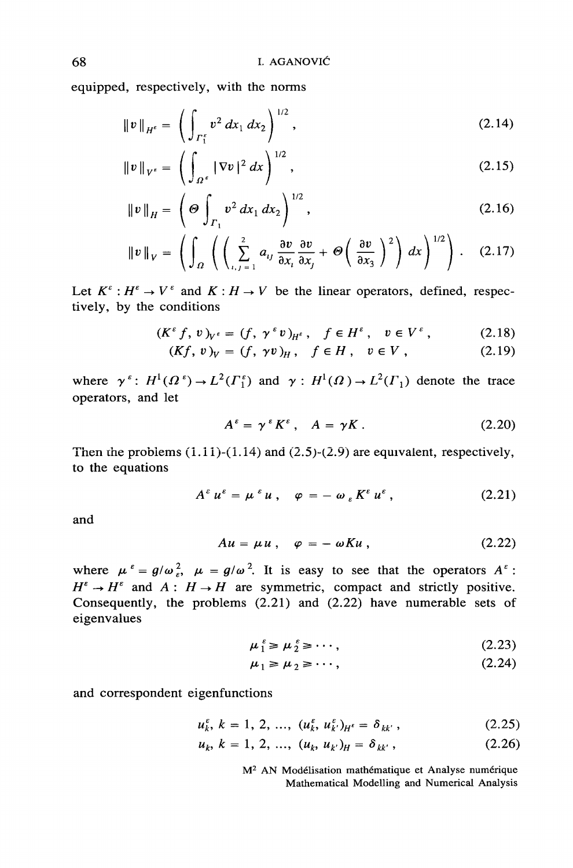equipped, respectively, with the norms

$$
\|v\|_{H^{\epsilon}} = \left(\int_{\Gamma_1^{\epsilon}} v^2 dx_1 dx_2\right)^{1/2}, \tag{2.14}
$$

$$
\|v\|_{V^{\varepsilon}} = \left(\int_{\Omega^{\varepsilon}} |\nabla v|^2 dx\right)^{1/2},
$$
\n(2.15)

$$
\|v\|_{H} = \left(\Theta \int_{\Gamma_1} v^2 dx_1 dx_2\right)^{1/2}, \qquad (2.16)
$$

$$
\|v\|_{V} = \left(\int_{\Omega} \left( \left( \sum_{i,j=1}^{2} a_{ij} \frac{\partial v}{\partial x_{i}} \frac{\partial v}{\partial x_{j}} + \Theta \left( \frac{\partial v}{\partial x_{3}} \right)^{2} \right) dx \right)^{1/2} \right). \quad (2.17)
$$

Let  $K^{\varepsilon}: H^{\varepsilon} \to V^{\varepsilon}$  and  $K: H \to V$  be the linear operators, defined, respectively, by the conditions

$$
(K^{\varepsilon} f, v)_{V^{\varepsilon}} = (f, \gamma^{\varepsilon} v)_{H^{\varepsilon}}, \quad f \in H^{\varepsilon}, \quad v \in V^{\varepsilon}, \tag{2.18}
$$

$$
(Kf, v)_V = (f, \gamma v)_H, \quad f \in H, \quad v \in V, \tag{2.19}
$$

where  $\gamma^{\epsilon}$ :  $H^1(\Omega^{\epsilon}) \to L^2(\Gamma_1^{\epsilon})$  and  $\gamma$ :  $H^1(\Omega) \to L^2(\Gamma_1)$  denote the trace operators, and let

$$
A^{\varepsilon} = \gamma^{\varepsilon} K^{\varepsilon} , \quad A = \gamma K . \tag{2.20}
$$

Then the problems  $(1.11)-(1.14)$  and  $(2.5)-(2.9)$  are equivalent, respectively, to the equations

$$
A^{\varepsilon} u^{\varepsilon} = \mu^{\varepsilon} u \ , \quad \varphi = - \omega_{\varepsilon} K^{\varepsilon} u^{\varepsilon} \ , \qquad (2.21)
$$

and

$$
Au = \mu u \,, \quad \varphi = - \omega K u \,, \tag{2.22}
$$

where  $\mu^{\epsilon} = g/\omega_{\epsilon}^{2}$ ,  $\mu = g/\omega^{2}$ . It is easy to see that the operators  $A^{\epsilon}$ :  $H^{\varepsilon} \to H^{\varepsilon}$  and  $A: H \to H$  are symmetric, compact and strictly positive. Consequently, the problems  $(2.21)$  and  $(2.22)$  have numerable sets of eigenvalues

$$
\mu_1^{\epsilon} \ge \mu_2^{\epsilon} \ge \cdots, \tag{2.23}
$$

$$
\mu_1 \ge \mu_2 \ge \cdots,\tag{2.24}
$$

and correspondent eigenfunctions

$$
u_k^{\varepsilon}, k = 1, 2, ..., (u_k^{\varepsilon}, u_{k'}^{\varepsilon})_{H^{\varepsilon}} = \delta_{kk'}, \qquad (2.25)
$$

$$
u_k, k = 1, 2, ..., (u_k, u_{k'})_H = \delta_{kk'}, \qquad (2.26)
$$

M<sup>2</sup> AN Modélisation mathématique et Analyse numérique Mathematical Modelling and Numerical Analysis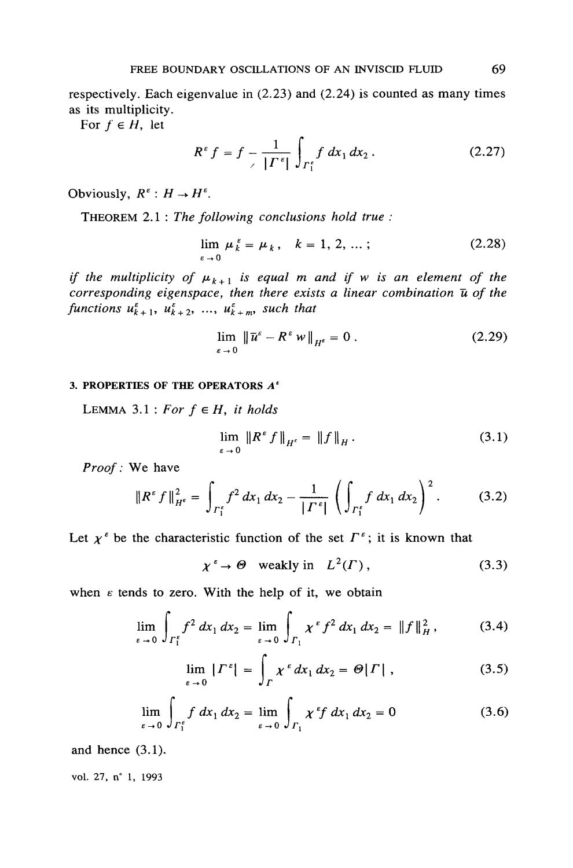respectively. Each eigenvalue in  $(2.23)$  and  $(2.24)$  is counted as many times as its multiplicity.

For  $f \in H$ , let

$$
R^{\varepsilon} f = f - \frac{1}{| \Gamma^{\varepsilon} |} \int_{\Gamma_1^{\varepsilon}} f \, dx_1 \, dx_2 \,. \tag{2.27}
$$

Obviously,  $R^{\varepsilon}: H \to H^{\varepsilon}$ .

THEOREM 2.1 : The following conclusions hold true :

$$
\lim_{\varepsilon \to 0} \mu_k^{\varepsilon} = \mu_k, \quad k = 1, 2, \dots; \tag{2.28}
$$

if the multiplicity of  $\mu_{k+1}$  is equal m and if w is an element of the corresponding eigenspace, then there exists a linear combination  $\bar{u}$  of the functions  $u_{k+1}^{\varepsilon}$ ,  $u_{k+2}^{\varepsilon}$ , ...,  $u_{k+m}^{\varepsilon}$ , such that

$$
\lim_{\varepsilon \to 0} \|\overline{u}^{\varepsilon} - R^{\varepsilon} w\|_{H^{\varepsilon}} = 0.
$$
\n(2.29)

#### 3. PROPERTIES OF THE OPERATORS  $A^s$

LEMMA 3.1 : For  $f \in H$ , it holds

$$
\lim_{\varepsilon \to 0} \|R^{\varepsilon} f\|_{H^{\varepsilon}} = \|f\|_{H}. \tag{3.1}
$$

Proof: We have

$$
\|R^{\varepsilon} f\|_{H^{\varepsilon}}^2 = \int_{\Gamma_1^{\varepsilon}} f^2 dx_1 dx_2 - \frac{1}{|\Gamma^{\varepsilon}|} \left( \int_{\Gamma_1^{\varepsilon}} f dx_1 dx_2 \right)^2. \tag{3.2}
$$

Let  $\chi^{\varepsilon}$  be the characteristic function of the set  $\Gamma^{\varepsilon}$ ; it is known that

$$
\chi^{\varepsilon} \to \Theta \quad \text{weakly in} \quad L^2(\Gamma) \,, \tag{3.3}
$$

when  $\varepsilon$  tends to zero. With the help of it, we obtain

$$
\lim_{\varepsilon \to 0} \int_{\Gamma_1^{\varepsilon}} f^2 \, dx_1 \, dx_2 = \lim_{\varepsilon \to 0} \int_{\Gamma_1} x^{\varepsilon} f^2 \, dx_1 \, dx_2 = \|f\|_{H}^2, \tag{3.4}
$$

$$
\lim_{\varepsilon \to 0} | \Gamma^{\varepsilon} | = \int_{\Gamma} \chi^{\varepsilon} dx_1 dx_2 = \Theta | \Gamma | , \qquad (3.5)
$$

$$
\lim_{\varepsilon \to 0} \int_{\Gamma_1^{\varepsilon}} f \, dx_1 \, dx_2 = \lim_{\varepsilon \to 0} \int_{\Gamma_1} \chi^{\varepsilon} f \, dx_1 \, dx_2 = 0 \tag{3.6}
$$

and hence  $(3.1)$ .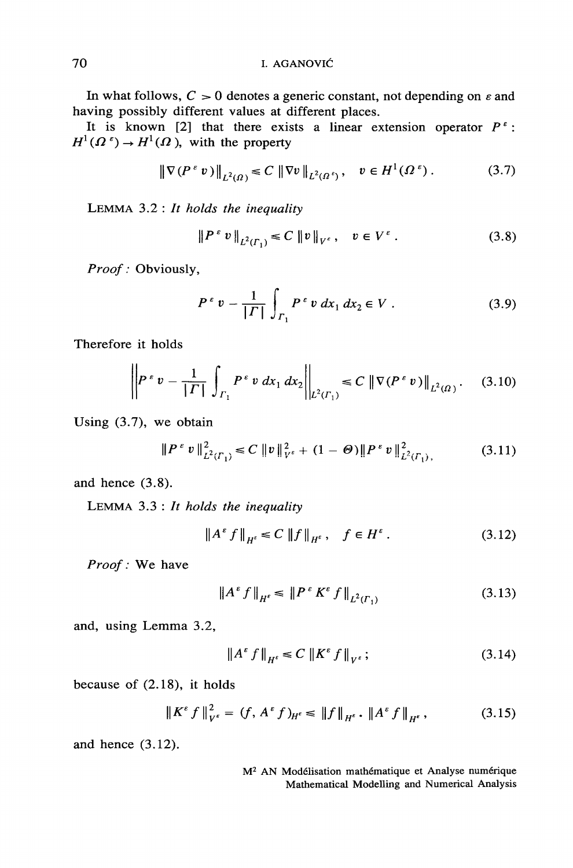In what follows,  $C > 0$  denotes a generic constant, not depending on  $\varepsilon$  and having possibly different values at different places.

It is known [2] that there exists a linear extension operator  $P^{\epsilon}$ :  $H^1(\Omega^{\epsilon}) \to H^1(\Omega)$ , with the property

$$
\|\nabla (P^{\varepsilon} v)\|_{L^2(\Omega)} \leq C \|\nabla v\|_{L^2(\Omega^{\varepsilon})}, \quad v \in H^1(\Omega^{\varepsilon}). \tag{3.7}
$$

LEMMA  $3.2:$  It holds the inequality

$$
\|P^{\varepsilon} v\|_{L^{2}(T_1)} \leq C \|v\|_{V^{\varepsilon}}, \quad v \in V^{\varepsilon}. \tag{3.8}
$$

Proof: Obviously,

$$
P^{\varepsilon} v - \frac{1}{|F|} \int_{F_1} P^{\varepsilon} v \, dx_1 \, dx_2 \in V . \tag{3.9}
$$

Therefore it holds

$$
\left\| P^{\epsilon} v - \frac{1}{|T|} \int_{\Gamma_1} P^{\epsilon} v \, dx_1 \, dx_2 \right\|_{L^2(\Gamma_1)} \leq C \left\| \nabla (P^{\epsilon} v) \right\|_{L^2(\Omega)}. \tag{3.10}
$$

Using  $(3.7)$ , we obtain

$$
\|P^{\varepsilon} v\|_{L^{2}(r_{1})}^{2} \leq C \|v\|_{V^{\varepsilon}}^{2} + (1 - \Theta) \|P^{\varepsilon} v\|_{L^{2}(r_{1})}^{2}, \qquad (3.11)
$$

and hence  $(3.8)$ .

LEMMA  $3.3:$  It holds the inequality

$$
\|A^{\varepsilon} f\|_{H^{\varepsilon}} \le C \|f\|_{H^{\varepsilon}}, \quad f \in H^{\varepsilon}.
$$
 (3.12)

Proof: We have

$$
\|A^{\epsilon} f\|_{H^{\epsilon}} \le \|P^{\epsilon} K^{\epsilon} f\|_{L^{2}(r_{1})}
$$
\n(3.13)

and, using Lemma 3.2,

$$
\|A^{\varepsilon} f\|_{H^{\varepsilon}} \le C \|K^{\varepsilon} f\|_{V^{\varepsilon}} ; \tag{3.14}
$$

because of  $(2.18)$ , it holds

$$
\|K^{\varepsilon} f\|_{V^{\varepsilon}}^2 = (f, A^{\varepsilon} f)_{H^{\varepsilon}} \le \|f\|_{H^{\varepsilon}} \cdot \|A^{\varepsilon} f\|_{H^{\varepsilon}}, \tag{3.15}
$$

and hence  $(3.12)$ .

M<sup>2</sup> AN Modélisation mathématique et Analyse numérique Mathematical Modelling and Numerical Analysis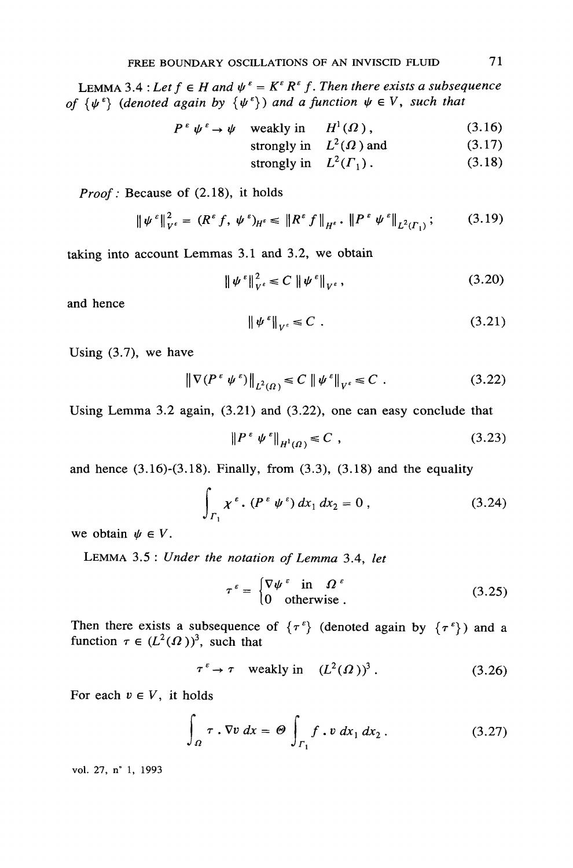LEMMA 3.4 : Let  $f \in H$  and  $\psi^{\varepsilon} = K^{\varepsilon} R^{\varepsilon} f$ . Then there exists a subsequence of  $\{\psi^{\varepsilon}\}\$  (denoted again by  $\{\psi^{\varepsilon}\}\$ ) and a function  $\psi \in V$ , such that

$$
P^{\varepsilon} \psi^{\varepsilon} \to \psi \quad \text{weakly in} \quad H^{1}(\Omega) \,, \tag{3.16}
$$

strongly in 
$$
L^2(\Omega)
$$
 and (3.17)

strongly in  $L^2(\Gamma_1)$ .  $(3.18)$ 

*Proof*: Because of (2.18), it holds

$$
\|\psi^{\varepsilon}\|_{V^{\varepsilon}}^{2} = (R^{\varepsilon} f, \ \psi^{\varepsilon})_{H^{\varepsilon}} \leq \|R^{\varepsilon} f\|_{H^{\varepsilon}} \cdot \|P^{\varepsilon} \ \psi^{\varepsilon}\|_{L^{2}(T_{1})};\tag{3.19}
$$

taking into account Lemmas 3.1 and 3.2, we obtain

$$
\|\psi^{\epsilon}\|_{V^{\epsilon}}^2 \leq C \|\psi^{\epsilon}\|_{V^{\epsilon}},\tag{3.20}
$$

and hence

$$
\|\psi^{\varepsilon}\|_{V^{\varepsilon}} \leq C \tag{3.21}
$$

Using  $(3.7)$ , we have

$$
\left\| \nabla (P^{\varepsilon} \psi^{\varepsilon}) \right\|_{L^2(\Omega)} \le C \left\| \psi^{\varepsilon} \right\|_{V^{\varepsilon}} \le C \tag{3.22}
$$

Using Lemma 3.2 again,  $(3.21)$  and  $(3.22)$ , one can easy conclude that

$$
\|P^{\varepsilon} \psi^{\varepsilon}\|_{H^1(\Omega)} \leq C \tag{3.23}
$$

and hence  $(3.16)-(3.18)$ . Finally, from  $(3.3)$ ,  $(3.18)$  and the equality

$$
\int_{\Gamma_1} \chi^{\epsilon} \cdot (P^{\epsilon} \psi^{\epsilon}) \, dx_1 \, dx_2 = 0 \,, \tag{3.24}
$$

we obtain  $\psi \in V$ .

LEMMA 3.5 : Under the notation of Lemma 3.4, let

$$
\tau^{\varepsilon} = \begin{cases} \nabla \psi^{\varepsilon} & \text{in} \quad \Omega^{\varepsilon} \\ 0 & \text{otherwise} \end{cases}
$$
 (3.25)

Then there exists a subsequence of  $\{\tau^{\varepsilon}\}\$  (denoted again by  $\{\tau^{\varepsilon}\}\$ ) and a function  $\tau \in (L^2(\Omega))^3$ , such that

$$
\tau^{\varepsilon} \to \tau \quad \text{weakly in} \quad (L^2(\Omega))^3. \tag{3.26}
$$

For each  $v \in V$ , it holds

$$
\int_{\Omega} \tau \cdot \nabla v \, dx = \Theta \int_{\Gamma_1} f \cdot v \, dx_1 \, dx_2 \,.
$$
 (3.27)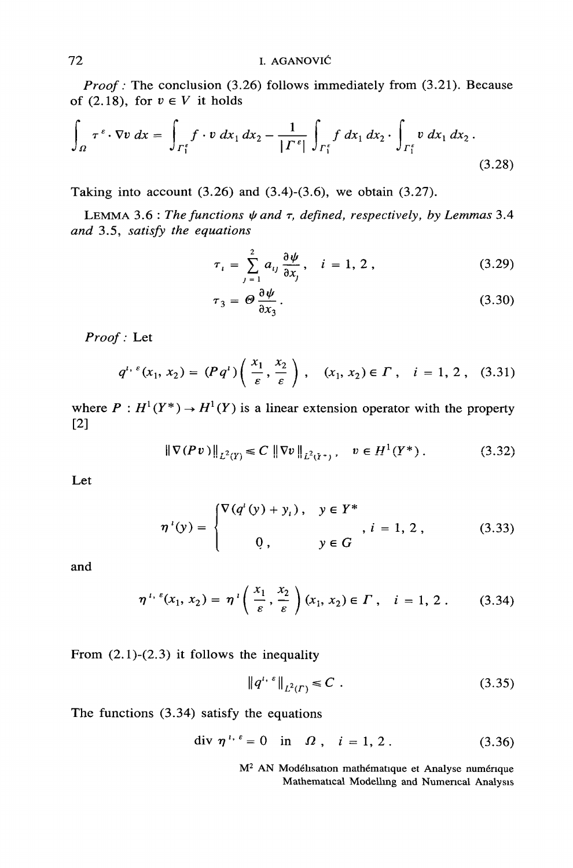*Proof*: The conclusion  $(3.26)$  follows immediately from  $(3.21)$ . Because of (2.18), for  $v \in V$  it holds

$$
\int_{\Omega} \tau^{\epsilon} \cdot \nabla v \, dx = \int_{\Gamma_1^{\epsilon}} f \cdot v \, dx_1 \, dx_2 - \frac{1}{|\Gamma^{\epsilon}|} \int_{\Gamma_1^{\epsilon}} f \, dx_1 \, dx_2 \cdot \int_{\Gamma_1^{\epsilon}} v \, dx_1 \, dx_2 \,.
$$
\n(3.28)

Taking into account  $(3.26)$  and  $(3.4)-(3.6)$ , we obtain  $(3.27)$ .

LEMMA 3.6 : The functions  $\psi$  and  $\tau$ , defined, respectively, by Lemmas 3.4 and 3.5, satisfy the equations

$$
\tau_i = \sum_{j=1}^2 a_{ij} \frac{\partial \psi}{\partial x_j}, \quad i = 1, 2, \qquad (3.29)
$$

$$
\tau_3 = \Theta \frac{\partial \psi}{\partial x_3}.
$$
\n(3.30)

Proof: Let

$$
q^{i, \epsilon}(x_1, x_2) = (Pq^i) \left( \frac{x_1}{\epsilon}, \frac{x_2}{\epsilon} \right), \quad (x_1, x_2) \in \Gamma \,, \quad i = 1, 2 \,, \quad (3.31)
$$

where  $P: H^1(Y^*) \to H^1(Y)$  is a linear extension operator with the property  $[2]$ 

$$
\|\nabla (Pv)\|_{L^2(Y)} \leq C \|\nabla v\|_{L^2(Y^*)}, \quad v \in H^1(Y^*)\,. \tag{3.32}
$$

Let

$$
\eta^{i}(y) = \begin{cases} \nabla (q^{i}(y) + y_{i}), & y \in Y^{*} \\ 0, & y \in G \end{cases}, i = 1, 2, \quad (3.33)
$$

and

$$
\eta^{i, \epsilon}(x_1, x_2) = \eta^{i}\left(\frac{x_1}{\epsilon}, \frac{x_2}{\epsilon}\right)(x_1, x_2) \in \Gamma, \quad i = 1, 2. \tag{3.34}
$$

From  $(2.1)-(2.3)$  it follows the inequality

$$
\|q^{i,s}\|_{L^2(\Gamma)} \leq C \tag{3.35}
$$

The functions  $(3.34)$  satisfy the equations

$$
\text{div } \eta^{i, \epsilon} = 0 \quad \text{in } \Omega \,, \quad i = 1, 2 \,. \tag{3.36}
$$

M<sup>2</sup> AN Modélisation mathématique et Analyse numérique Mathematical Modelling and Numerical Analysis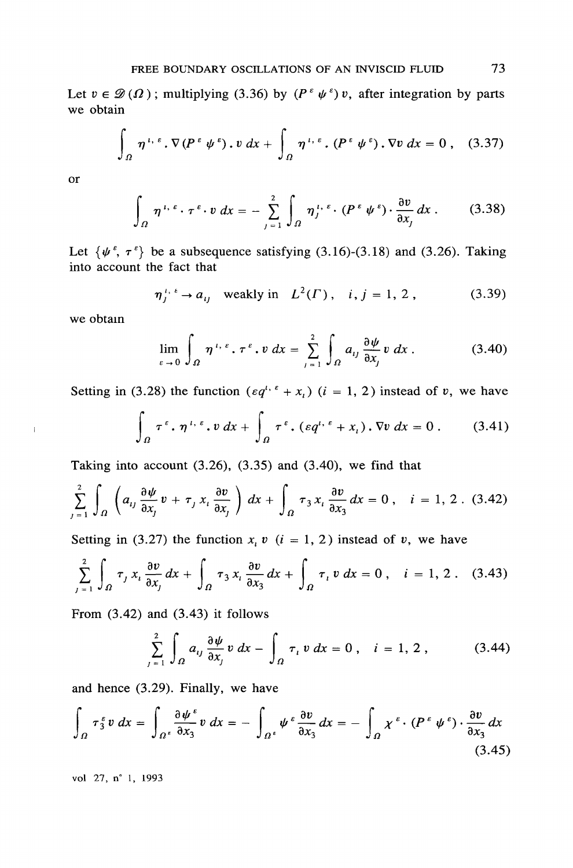Let  $v \in \mathcal{D}(\Omega)$ ; multiplying (3.36) by  $(P^{\varepsilon} \psi^{\varepsilon}) v$ , after integration by parts we obtain

$$
\int_{\Omega} \eta^{i,\,\varepsilon} \cdot \nabla (P^{\,\varepsilon} \psi^{\,\varepsilon}) \cdot v \, dx + \int_{\Omega} \eta^{i,\,\varepsilon} \cdot (P^{\,\varepsilon} \psi^{\,\varepsilon}) \cdot \nabla v \, dx = 0 \;, \quad (3.37)
$$

**or** 

$$
\int_{\Omega} \eta^{i, \epsilon} \cdot \tau^{\epsilon} \cdot v \, dx = - \sum_{j=1}^{2} \int_{\Omega} \eta^{i, \epsilon} \cdot (P^{\epsilon} \psi^{\epsilon}) \cdot \frac{\partial v}{\partial x_j} dx \,. \tag{3.38}
$$

Let  $\{\psi^{\varepsilon}, \tau^{\varepsilon}\}\$  be a subsequence satisfying (3.16)-(3.18) and (3.26). Taking into account the fact that

$$
\eta_j^{i, i} \to a_{ij}
$$
 weakly in  $L^2(\Gamma)$ , *i, j = 1, 2*, (3.39)

we obtain

 $\mathbf{I}$ 

$$
\lim_{\varepsilon \to 0} \int_{\Omega} \eta^{\iota, \varepsilon} \cdot \tau^{\varepsilon} \cdot v \, dx = \sum_{j=1}^{2} \int_{\Omega} a_{ij} \frac{\partial \psi}{\partial x_j} v \, dx \, . \tag{3.40}
$$

Setting in (3.28) the function  $(\epsilon q^{i, \ell} + x_i)$   $(i = 1, 2)$  instead of v, we have

$$
\int_{\Omega} \tau^{\varepsilon} \cdot \eta^{\iota, \varepsilon} \cdot v \, dx + \int_{\Omega} \tau^{\varepsilon} \cdot (\varepsilon q^{\iota, \varepsilon} + x_{\iota}) \cdot \nabla v \, dx = 0 \,. \tag{3.41}
$$

Taking into account  $(3.26)$ ,  $(3.35)$  and  $(3.40)$ , we find that

$$
\sum_{j=1}^{2} \int_{\Omega} \left( a_{ij} \frac{\partial \psi}{\partial x_{j}} v + \tau_{j} x_{i} \frac{\partial v}{\partial x_{j}} \right) dx + \int_{\Omega} \tau_{3} x_{i} \frac{\partial v}{\partial x_{3}} dx = 0, \quad i = 1, 2. (3.42)
$$

Setting in (3.27) the function  $x_i$  v (i = 1, 2) instead of v, we have

$$
\sum_{j=1}^{2} \int_{\Omega} \tau_j x_i \frac{\partial v}{\partial x_j} dx + \int_{\Omega} \tau_3 x_i \frac{\partial v}{\partial x_3} dx + \int_{\Omega} \tau_i v dx = 0, \quad i = 1, 2. \quad (3.43)
$$

From  $(3.42)$  and  $(3.43)$  it follows

$$
\sum_{j=1}^{2} \int_{\Omega} a_{ij} \frac{\partial \psi}{\partial x_j} v \, dx - \int_{\Omega} \tau_i v \, dx = 0 \,, \quad i = 1, 2 \,, \tag{3.44}
$$

and hence  $(3.29)$ . Finally, we have

$$
\int_{\Omega} \tau_3^{\varepsilon} v \, dx = \int_{\Omega^{\varepsilon}} \frac{\partial \psi^{\varepsilon}}{\partial x_3} v \, dx = - \int_{\Omega^{\varepsilon}} \psi^{\varepsilon} \frac{\partial v}{\partial x_3} dx = - \int_{\Omega} \chi^{\varepsilon} \cdot (P^{\varepsilon} \psi^{\varepsilon}) \cdot \frac{\partial v}{\partial x_3} dx
$$
\n(3.45)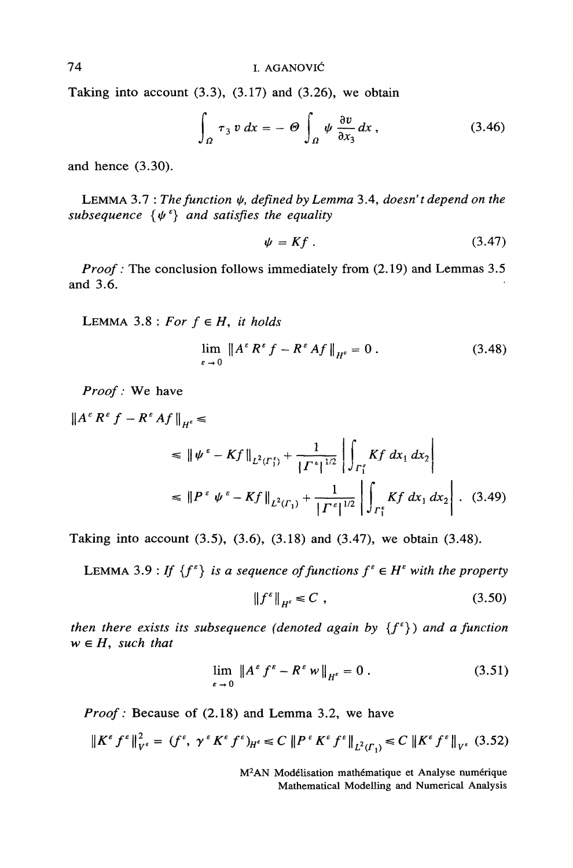Taking into account  $(3.3)$ ,  $(3.17)$  and  $(3.26)$ , we obtain

$$
\int_{\Omega} \tau_3 \, v \, dx = -\Theta \int_{\Omega} \psi \, \frac{\partial v}{\partial x_3} dx \,, \tag{3.46}
$$

and hence  $(3.30)$ .

LEMMA 3.7 : The function  $\psi$ , defined by Lemma 3.4, doesn't depend on the subsequence  $\{\psi^{\varepsilon}\}\$  and satisfies the equality

$$
\psi = Kf \tag{3.47}
$$

*Proof*: The conclusion follows immediately from (2.19) and Lemmas 3.5 and 3.6.

LEMMA 3.8 : For  $f \in H$ , it holds

$$
\lim_{\varepsilon \to 0} \|A^{\varepsilon} R^{\varepsilon} f - R^{\varepsilon} Af\|_{H^s} = 0.
$$
 (3.48)

Proof: We have

$$
\|A^{\varepsilon} R^{\varepsilon} f - R^{\varepsilon} Af\|_{H^{\varepsilon}} \le
$$
  
\n
$$
\leq \|\psi^{\varepsilon} - Kf\|_{L^{2}(r_{1}^{\varepsilon})} + \frac{1}{|\Gamma^{\varepsilon}|^{1/2}} \left| \int_{r_{1}^{\varepsilon}} Kf \, dx_{1} \, dx_{2} \right|
$$
  
\n
$$
\leq \|P^{\varepsilon} \psi^{\varepsilon} - Kf\|_{L^{2}(r_{1})} + \frac{1}{|\Gamma^{\varepsilon}|^{1/2}} \left| \int_{r_{1}^{\varepsilon}} Kf \, dx_{1} \, dx_{2} \right|.
$$
 (3.49)

Taking into account  $(3.5)$ ,  $(3.6)$ ,  $(3.18)$  and  $(3.47)$ , we obtain  $(3.48)$ .

LEMMA 3.9 : If  $\{f^{\varepsilon}\}\$  is a sequence of functions  $f^{\varepsilon} \in H^{\varepsilon}$  with the property

$$
\|f^{\varepsilon}\|_{H^{\varepsilon}} \leq C \tag{3.50}
$$

then there exists its subsequence (denoted again by  $\{f^{\varepsilon}\}\$ ) and a function  $w \in H$ , such that

$$
\lim_{\varepsilon \to 0} \|A^{\varepsilon} f^{\varepsilon} - R^{\varepsilon} w\|_{H^{\varepsilon}} = 0.
$$
\n(3.51)

*Proof*: Because of (2.18) and Lemma 3.2, we have

$$
\|K^{\varepsilon} f^{\varepsilon}\|_{V^{\varepsilon}}^{2} = (f^{\varepsilon}, \gamma^{\varepsilon} K^{\varepsilon} f^{\varepsilon})_{H^{\varepsilon}} \le C \|P^{\varepsilon} K^{\varepsilon} f^{\varepsilon}\|_{L^{2}(F_{1})} \le C \|K^{\varepsilon} f^{\varepsilon}\|_{V^{\varepsilon}} (3.52)
$$

M<sup>2</sup>AN Modélisation mathématique et Analyse numérique Mathematical Modelling and Numerical Analysis

74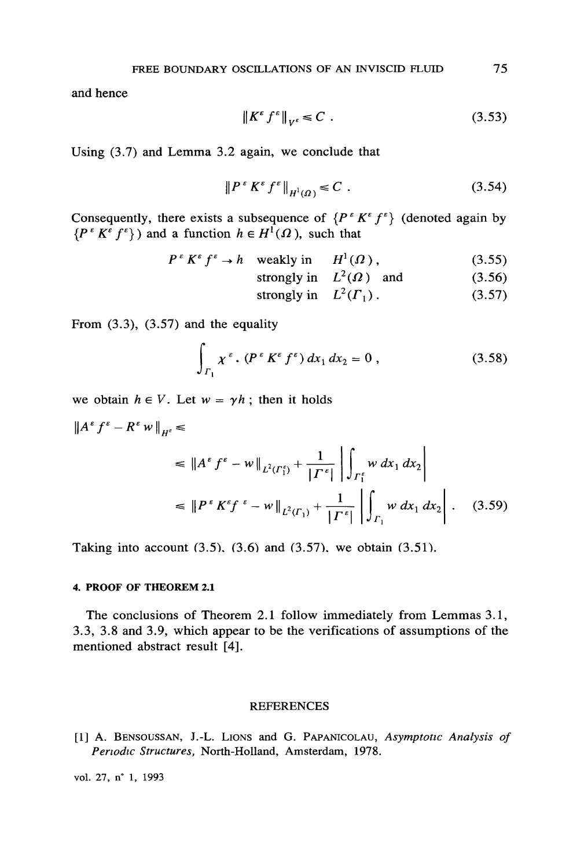and hence

$$
\left\|K^{\varepsilon} f^{\varepsilon}\right\|_{V^{\varepsilon}} \leq C \tag{3.53}
$$

Using  $(3.7)$  and Lemma 3.2 again, we conclude that

$$
\|P^{\varepsilon} K^{\varepsilon} f^{\varepsilon}\|_{H^1(\Omega)} \leq C \tag{3.54}
$$

Consequently, there exists a subsequence of  $\{P^{\varepsilon} K^{\varepsilon} f^{\varepsilon}\}\$  (denoted again by  $\{P^{\varepsilon} K^{\varepsilon} f^{\varepsilon}\}\$  and a function  $h \in H^{1}(\Omega)$ , such that

$$
P^{\varepsilon} K^{\varepsilon} f^{\varepsilon} \to h \quad \text{weakly in} \quad H^{1}(\Omega) , \tag{3.55}
$$

strongly in 
$$
L^2(\Omega)
$$
 and (3.56)

strongly in 
$$
L^2(\Gamma_1)
$$
. (3.57)

From  $(3.3)$ ,  $(3.57)$  and the equality

$$
\int_{\Gamma_1} \chi^{\epsilon} \cdot (P^{\epsilon} K^{\epsilon} f^{\epsilon}) dx_1 dx_2 = 0 , \qquad (3.58)
$$

we obtain  $h \in V$ . Let  $w = \gamma h$ ; then it holds

$$
\|A^{\varepsilon} f^{\varepsilon} - R^{\varepsilon} w\|_{H^{\varepsilon}} \le
$$
  
\n
$$
\le \|A^{\varepsilon} f^{\varepsilon} - w\|_{L^{2}(T_{1}^{\varepsilon})} + \frac{1}{|I^{\varepsilon}|} \left| \int_{\Gamma_{1}^{\varepsilon}} w \, dx_{1} \, dx_{2} \right|
$$
  
\n
$$
\le \|P^{\varepsilon} K^{\varepsilon} f^{\varepsilon} - w\|_{L^{2}(T_{1})} + \frac{1}{|I^{\varepsilon}|} \left| \int_{\Gamma_{1}} w \, dx_{1} \, dx_{2} \right|.
$$
 (3.59)

Taking into account (3.5), (3.6) and (3.57), we obtain (3.51).

#### 4. PROOF OF THEOREM 2.1

The conclusions of Theorem 2.1 follow immediately from Lemmas 3.1, 3.3, 3.8 and 3.9, which appear to be the verifications of assumptions of the mentioned abstract result [4].

#### **REFERENCES**

[1] A. BENSOUSSAN, J.-L. LIONS and G. PAPANICOLAU, Asymptotic Analysis of Periodic Structures, North-Holland, Amsterdam, 1978.